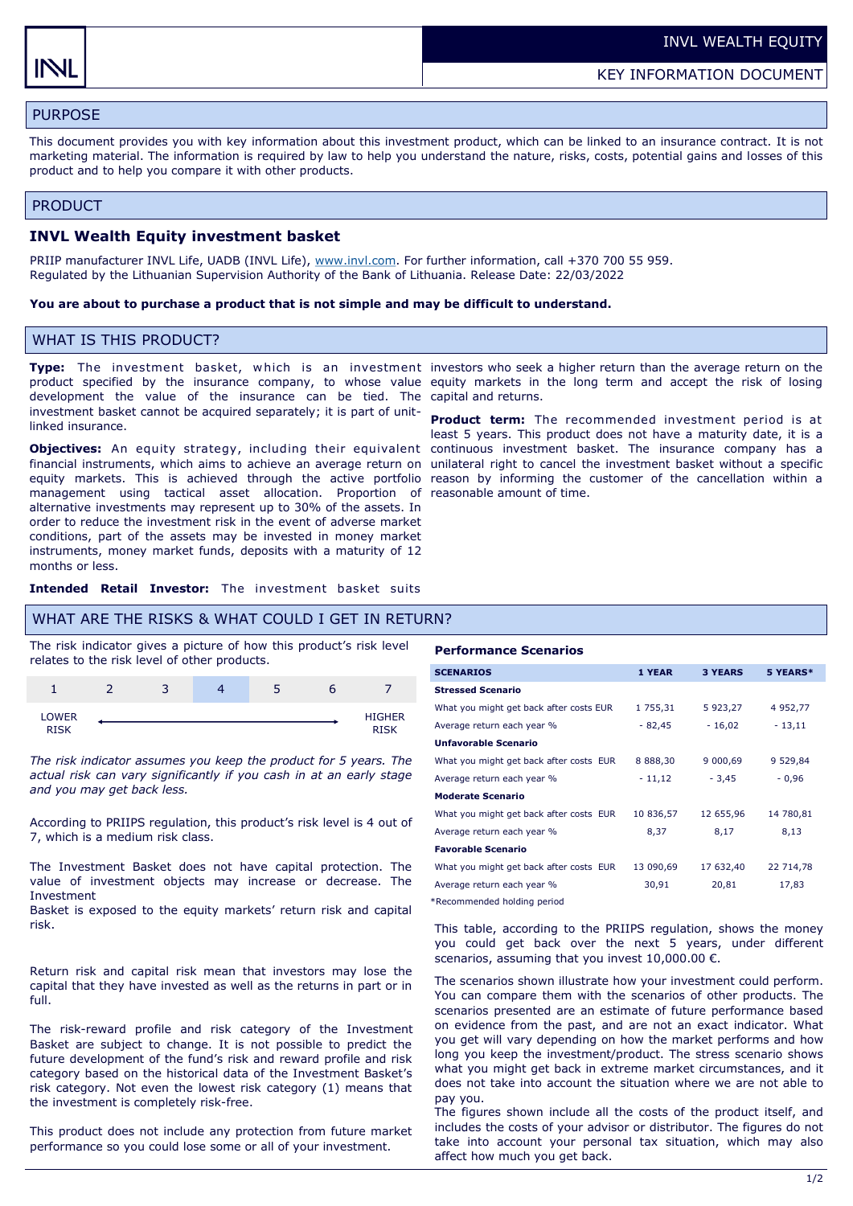KEY INFORMATION DOCUMENT

# PURPOSE

This document provides you with key information about this investment product, which can be linked to an insurance contract. It is not marketing material. The information is required by law to help you understand the nature, risks, costs, potential gains and losses of this product and to help you compare it with other products.

### PRODUCT

### **INVL Wealth Equity investment basket**

PRIIP manufacturer INVL Life, UADB (INVL Life), [www.invl.com.](http://www.invl.com) For further information, call +370 700 55 959. Regulated by the Lithuanian Supervision Authority of the Bank of Lithuania. Release Date: 22/03/2022

### **You are about to purchase a product that is not simple and may be difficult to understand.**

# WHAT IS THIS PRODUCT?

development the value of the insurance can be tied. The capital and returns. investment basket cannot be acquired separately; it is part of unitlinked insurance.

**Objectives:** An equity strategy, including their equivalent continuous investment basket. The insurance company has a financial instruments, which aims to achieve an average return on unilateral right to cancel the investment basket without a specific equity markets. This is achieved through the active portfolio reason by informing the customer of the cancellation within a management using tactical asset allocation. Proportion of reasonable amount of time. alternative investments may represent up to 30% of the assets. In order to reduce the investment risk in the event of adverse market conditions, part of the assets may be invested in money market instruments, money market funds, deposits with a maturity of 12 months or less.

**Type:** The investment basket, which is an investment investors who seek a higher return than the average return on the product specified by the insurance company, to whose value equity markets in the long term and accept the risk of losing

> **Product term:** The recommended investment period is at least 5 years. This product does not have a maturity date, it is a

**Intended Retail Investor:** The investment basket suits

### WHAT ARE THE RISKS & WHAT COULD I GET IN RETURN?

The risk indicator gives a picture of how this product's risk level relates to the risk level of other products.

|                             | ٠ |  |                              |
|-----------------------------|---|--|------------------------------|
| <b>LOWER</b><br><b>RISK</b> |   |  | <b>HIGHER</b><br><b>DTCK</b> |

*The risk indicator assumes you keep the product for 5 years. The actual risk can vary significantly if you cash in at an early stage and you may get back less.* 

According to PRIIPS regulation, this product's risk level is 4 out of 7, which is a medium risk class.

The Investment Basket does not have capital protection. The value of investment objects may increase or decrease. The Investment

Basket is exposed to the equity markets' return risk and capital risk.

Return risk and capital risk mean that investors may lose the capital that they have invested as well as the returns in part or in full.

The risk-reward profile and risk category of the Investment Basket are subject to change. It is not possible to predict the future development of the fund's risk and reward profile and risk category based on the historical data of the Investment Basket's risk category. Not even the lowest risk category (1) means that the investment is completely risk-free.

This product does not include any protection from future market performance so you could lose some or all of your investment.

#### **Performance Scenarios**

| <b>SCENARIOS</b>                        | 1 YEAR        | <b>3 YEARS</b> | 5 YEARS*     |
|-----------------------------------------|---------------|----------------|--------------|
| <b>Stressed Scenario</b>                |               |                |              |
| What you might get back after costs EUR | 1 755,31      | 5 923,27       | 4 9 5 2, 7 7 |
| Average return each year %              | $-82,45$      | $-16,02$       | $-13,11$     |
| Unfavorable Scenario                    |               |                |              |
| What you might get back after costs EUR | 8 8 8 8 , 3 0 | 9 000,69       | 9 529,84     |
| Average return each year %              | $-11,12$      | $-3,45$        | $-0.96$      |
| <b>Moderate Scenario</b>                |               |                |              |
| What you might get back after costs EUR | 10 836,57     | 12 655,96      | 14 780,81    |
| Average return each year %              | 8,37          | 8,17           | 8,13         |
| <b>Favorable Scenario</b>               |               |                |              |
| What you might get back after costs EUR | 13 090,69     | 17 632,40      | 22 714,78    |
| Average return each year %              | 30,91         | 20,81          | 17,83        |

\*Recommended holding period

This table, according to the PRIIPS regulation, shows the money you could get back over the next 5 years, under different scenarios, assuming that you invest 10,000.00 €.

The scenarios shown illustrate how your investment could perform. You can compare them with the scenarios of other products. The scenarios presented are an estimate of future performance based on evidence from the past, and are not an exact indicator. What you get will vary depending on how the market performs and how long you keep the investment/product. The stress scenario shows what you might get back in extreme market circumstances, and it does not take into account the situation where we are not able to pay you.

The figures shown include all the costs of the product itself, and includes the costs of your advisor or distributor. The figures do not take into account your personal tax situation, which may also affect how much you get back.